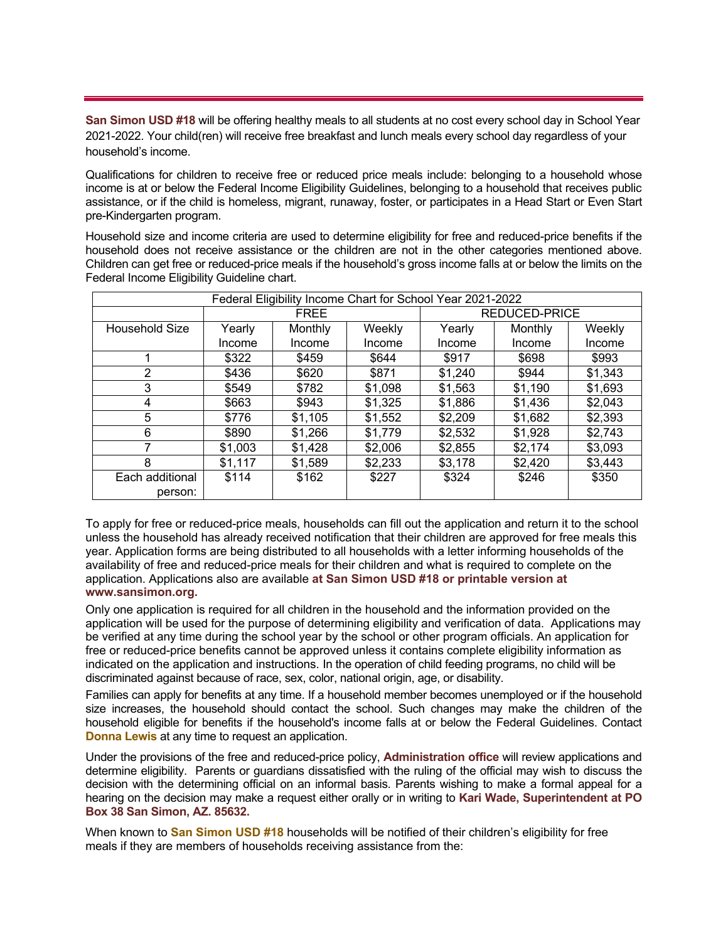**San Simon USD #18** will be offering healthy meals to all students at no cost every school day in School Year 2021-2022. Your child(ren) will receive free breakfast and lunch meals every school day regardless of your household's income.

Qualifications for children to receive free or reduced price meals include: belonging to a household whose income is at or below the Federal Income Eligibility Guidelines, belonging to a household that receives public assistance, or if the child is homeless, migrant, runaway, foster, or participates in a Head Start or Even Start pre-Kindergarten program.

Household size and income criteria are used to determine eligibility for free and reduced-price benefits if the household does not receive assistance or the children are not in the other categories mentioned above. Children can get free or reduced-price meals if the household's gross income falls at or below the limits on the Federal Income Eligibility Guideline chart.

| Federal Eligibility Income Chart for School Year 2021-2022 |             |         |         |               |         |         |
|------------------------------------------------------------|-------------|---------|---------|---------------|---------|---------|
|                                                            | <b>FREE</b> |         |         | REDUCED-PRICE |         |         |
| Household Size                                             | Yearly      | Monthly | Weekly  | Yearly        | Monthly | Weekly  |
|                                                            | Income      | Income  | Income  | Income        | Income  | Income  |
|                                                            | \$322       | \$459   | \$644   | \$917         | \$698   | \$993   |
| $\overline{2}$                                             | \$436       | \$620   | \$871   | \$1,240       | \$944   | \$1,343 |
| 3                                                          | \$549       | \$782   | \$1,098 | \$1,563       | \$1,190 | \$1,693 |
| 4                                                          | \$663       | \$943   | \$1,325 | \$1,886       | \$1,436 | \$2,043 |
| 5                                                          | \$776       | \$1,105 | \$1,552 | \$2,209       | \$1,682 | \$2,393 |
| 6                                                          | \$890       | \$1,266 | \$1,779 | \$2,532       | \$1,928 | \$2,743 |
|                                                            | \$1,003     | \$1,428 | \$2,006 | \$2,855       | \$2,174 | \$3,093 |
| 8                                                          | \$1,117     | \$1,589 | \$2,233 | \$3,178       | \$2,420 | \$3,443 |
| Each additional                                            | \$114       | \$162   | \$227   | \$324         | \$246   | \$350   |
| person:                                                    |             |         |         |               |         |         |

To apply for free or reduced-price meals, households can fill out the application and return it to the school unless the household has already received notification that their children are approved for free meals this year. Application forms are being distributed to all households with a letter informing households of the availability of free and reduced-price meals for their children and what is required to complete on the application. Applications also are available **at San Simon USD #18 or printable version at www.sansimon.org.**

Only one application is required for all children in the household and the information provided on the application will be used for the purpose of determining eligibility and verification of data. Applications may be verified at any time during the school year by the school or other program officials. An application for free or reduced-price benefits cannot be approved unless it contains complete eligibility information as indicated on the application and instructions. In the operation of child feeding programs, no child will be discriminated against because of race, sex, color, national origin, age, or disability.

Families can apply for benefits at any time. If a household member becomes unemployed or if the household size increases, the household should contact the school. Such changes may make the children of the household eligible for benefits if the household's income falls at or below the Federal Guidelines. Contact **Donna Lewis** at any time to request an application.

Under the provisions of the free and reduced-price policy, **Administration office** will review applications and determine eligibility. Parents or guardians dissatisfied with the ruling of the official may wish to discuss the decision with the determining official on an informal basis. Parents wishing to make a formal appeal for a hearing on the decision may make a request either orally or in writing to **Kari Wade, Superintendent at PO Box 38 San Simon, AZ. 85632.** 

When known to **San Simon USD #18** households will be notified of their children's eligibility for free meals if they are members of households receiving assistance from the: